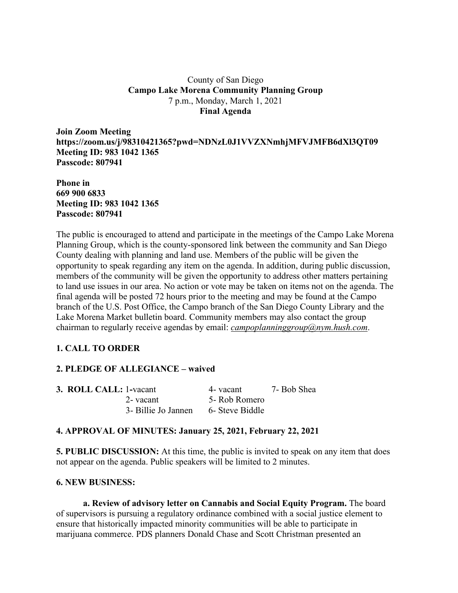#### County of San Diego **Campo Lake Morena Community Planning Group** 7 p.m., Monday, March 1, 2021 **Final Agenda**

**Join Zoom Meeting https://zoom.us/j/98310421365?pwd=NDNzL0J1VVZXNmhjMFVJMFB6dXl3QT09 Meeting ID: 983 1042 1365 Passcode: 807941**

**Phone in 669 900 6833 Meeting ID: 983 1042 1365 Passcode: 807941**

The public is encouraged to attend and participate in the meetings of the Campo Lake Morena Planning Group, which is the county-sponsored link between the community and San Diego County dealing with planning and land use. Members of the public will be given the opportunity to speak regarding any item on the agenda. In addition, during public discussion, members of the community will be given the opportunity to address other matters pertaining to land use issues in our area. No action or vote may be taken on items not on the agenda. The final agenda will be posted 72 hours prior to the meeting and may be found at the Campo branch of the U.S. Post Office, the Campo branch of the San Diego County Library and the Lake Morena Market bulletin board. Community members may also contact the group chairman to regularly receive agendas by email: *campoplanninggroup@nym.hush.com*.

# **1. CALL TO ORDER**

# **2. PLEDGE OF ALLEGIANCE – waived**

| <b>3. ROLL CALL: 1-vacant</b> |                     | 4- vacant       | 7- Bob Shea |
|-------------------------------|---------------------|-----------------|-------------|
|                               | 2- vacant           | 5- Rob Romero   |             |
|                               | 3- Billie Jo Jannen | 6- Steve Biddle |             |

# **4. APPROVAL OF MINUTES: January 25, 2021, February 22, 2021**

**5. PUBLIC DISCUSSION:** At this time, the public is invited to speak on any item that does not appear on the agenda. Public speakers will be limited to 2 minutes.

#### **6. NEW BUSINESS:**

**a. Review of advisory letter on Cannabis and Social Equity Program.** The board of supervisors is pursuing a regulatory ordinance combined with a social justice element to ensure that historically impacted minority communities will be able to participate in marijuana commerce. PDS planners Donald Chase and Scott Christman presented an